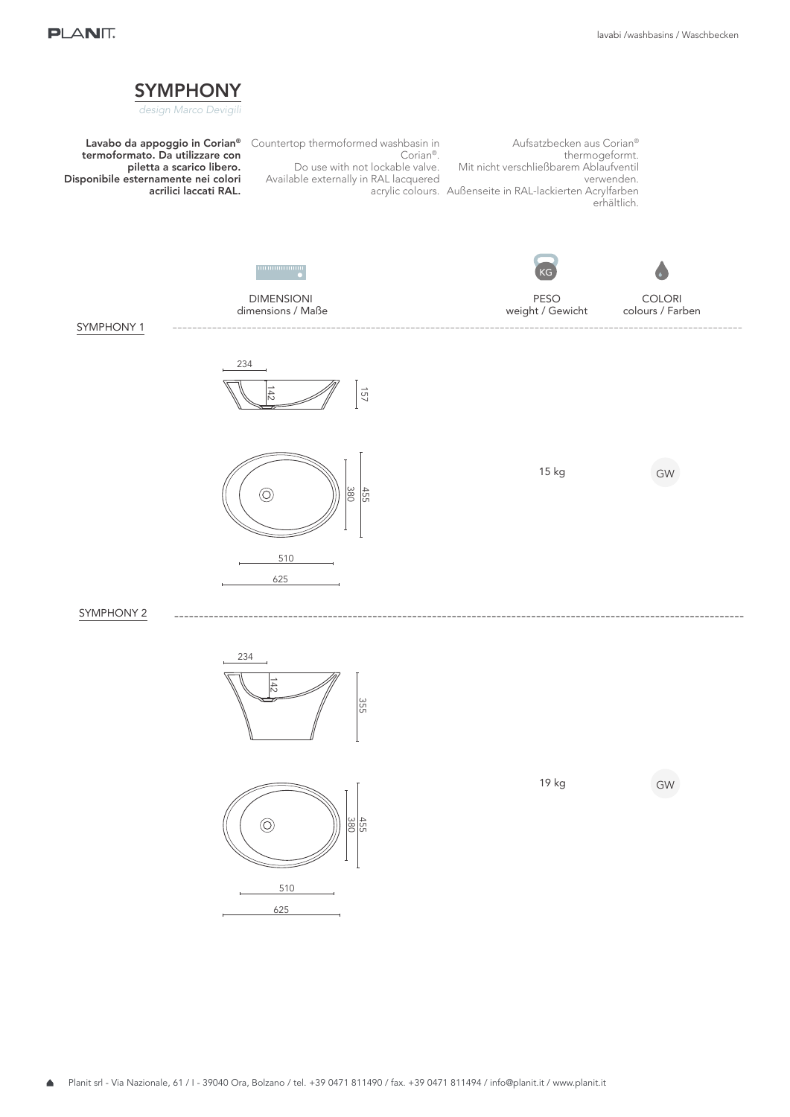